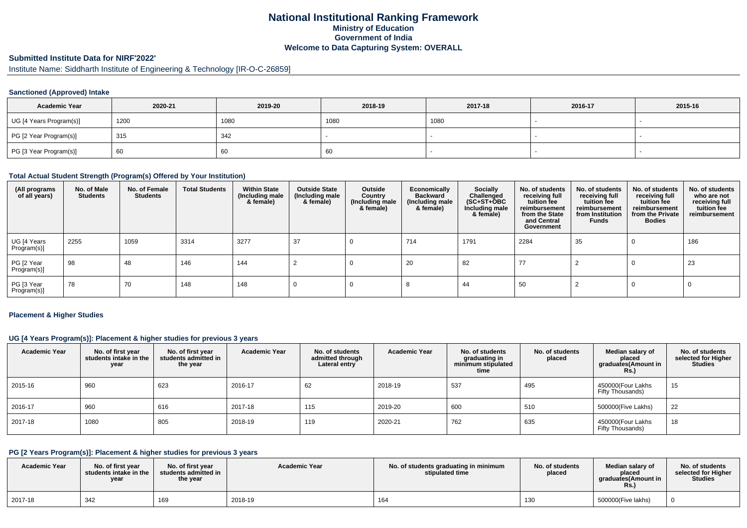## **National Institutional Ranking FrameworkMinistry of Education Government of IndiaWelcome to Data Capturing System: OVERALL**

# **Submitted Institute Data for NIRF'2022'**

# Institute Name: Siddharth Institute of Engineering & Technology [IR-O-C-26859]

### **Sanctioned (Approved) Intake**

| <b>Academic Year</b>    | 2020-21 | 2019-20 | 2018-19 | 2017-18 | 2016-17 | 2015-16 |
|-------------------------|---------|---------|---------|---------|---------|---------|
| UG [4 Years Program(s)] | 1200    | 1080    | 1080    | 1080    |         |         |
| PG [2 Year Program(s)]  | 315     | 342     |         |         |         |         |
| PG [3 Year Program(s)]  | 60      | 60      | 60      |         |         |         |

#### **Total Actual Student Strength (Program(s) Offered by Your Institution)**

| (All programs<br>of all years) | No. of Male<br><b>Students</b> | No. of Female<br><b>Students</b> | <b>Total Students</b> | <b>Within State</b><br>(Including male<br>& female) | <b>Outside State</b><br>(Including male<br>& female) | Outside<br>Country<br>(Including male<br>& female) | Economically<br><b>Backward</b><br>(Including male<br>& female) | Socially<br>Challenged<br>$(SC+ST+\overline{O}BC)$<br>Including male<br>& female) | No. of students<br>receiving full<br>tuition fee<br>reimbursement<br>from the State<br>and Central<br>Government | No. of students<br>receiving full<br>tuition fee<br>reimbursement<br>from Institution<br><b>Funds</b> | No. of students<br>receiving full<br>tuition fee<br>reimbursement<br>from the Private<br><b>Bodies</b> | No. of students<br>who are not<br>receiving full<br>tuition fee<br>reimbursement |
|--------------------------------|--------------------------------|----------------------------------|-----------------------|-----------------------------------------------------|------------------------------------------------------|----------------------------------------------------|-----------------------------------------------------------------|-----------------------------------------------------------------------------------|------------------------------------------------------------------------------------------------------------------|-------------------------------------------------------------------------------------------------------|--------------------------------------------------------------------------------------------------------|----------------------------------------------------------------------------------|
| UG [4 Years<br>Program(s)]     | 2255                           | 1059                             | 3314                  | 3277                                                | 37                                                   |                                                    | 714                                                             | 1791                                                                              | 2284                                                                                                             | 35                                                                                                    |                                                                                                        | 186                                                                              |
| PG [2 Year<br>Program(s)]      | 98                             | 48                               | 146                   | 144                                                 |                                                      |                                                    | 20                                                              | 82                                                                                | 77                                                                                                               |                                                                                                       |                                                                                                        | 23                                                                               |
| PG [3 Year<br>Program(s)]      | 78                             | 70                               | 148                   | 148                                                 |                                                      |                                                    |                                                                 | 44                                                                                | 50                                                                                                               |                                                                                                       |                                                                                                        |                                                                                  |

#### **Placement & Higher Studies**

### **UG [4 Years Program(s)]: Placement & higher studies for previous 3 years**

| <b>Academic Year</b> | No. of first year<br>students intake in the<br>year | No. of first year<br>students admitted in<br>the year | <b>Academic Year</b> | No. of students<br>admitted through<br>Lateral entry | <b>Academic Year</b> | No. of students<br>graduating in<br>minimum stipulated<br>time | No. of students<br>placed | Median salary of<br>placed<br>graduates(Amount in<br>Rs.) | No. of students<br>selected for Higher<br><b>Studies</b> |
|----------------------|-----------------------------------------------------|-------------------------------------------------------|----------------------|------------------------------------------------------|----------------------|----------------------------------------------------------------|---------------------------|-----------------------------------------------------------|----------------------------------------------------------|
| 2015-16              | 960                                                 | 623                                                   | 2016-17              | 62                                                   | 2018-19              | 537                                                            | 495                       | 450000(Four Lakhs<br>Fifty Thousands)                     | 15                                                       |
| 2016-17              | 960                                                 | 616                                                   | 2017-18              | 115                                                  | 2019-20              | 600                                                            | 510                       | 500000(Five Lakhs)                                        | 22                                                       |
| 2017-18              | 1080                                                | 805                                                   | 2018-19              | 119                                                  | 2020-21              | 762                                                            | 635                       | 450000(Four Lakhs<br>Fifty Thousands)                     | 18                                                       |

### **PG [2 Years Program(s)]: Placement & higher studies for previous 3 years**

| <b>Academic Year</b> | No. of first vear<br>students intake in the<br>year | No. of first vear<br>students admitted in<br>the year | <b>Academic Year</b> | No. of students graduating in minimum<br>stipulated time | No. of students<br>placed | Median salary of<br>placed<br>araduates(Amount in<br>Rs. | No. of students<br>selected for Higher<br><b>Studies</b> |
|----------------------|-----------------------------------------------------|-------------------------------------------------------|----------------------|----------------------------------------------------------|---------------------------|----------------------------------------------------------|----------------------------------------------------------|
| 2017-18              | 342                                                 | 169                                                   | 2018-19              | 164                                                      | 130                       | 500000(Five lakhs)                                       |                                                          |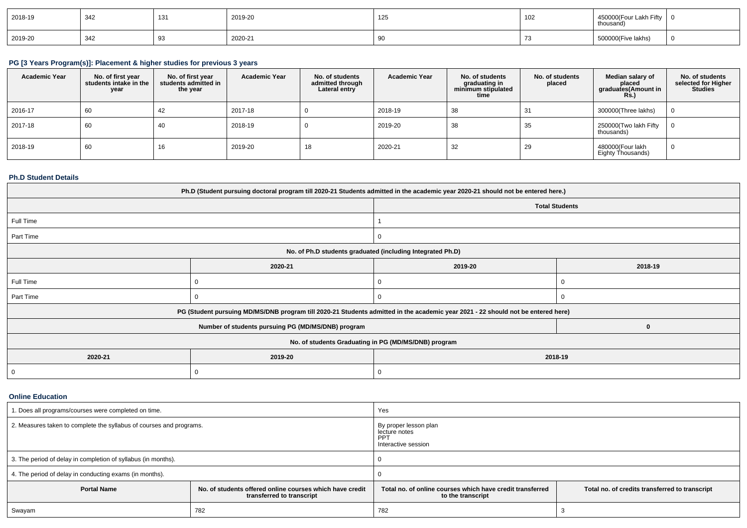| 2018-19 | 342 | ັບ | 2019-20 | 125 | . | 450000(Four Lakh Fifty<br>thousand) |  |
|---------|-----|----|---------|-----|---|-------------------------------------|--|
| 2019-20 | 342 |    | 2020-21 |     |   | 500000(Five lakhs)                  |  |

### **PG [3 Years Program(s)]: Placement & higher studies for previous 3 years**

| <b>Academic Year</b> | No. of first year<br>students intake in the<br>year | No. of first vear<br>students admitted in<br>the year | <b>Academic Year</b> | No. of students<br>admitted through<br>Lateral entry | <b>Academic Year</b> | No. of students<br>graduating in<br>minimum stipulated<br>time | No. of students<br>placed | Median salary of<br>placed<br>graduates(Amount in<br>KS.)                               | No. of students<br>selected for Higher<br><b>Studies</b> |
|----------------------|-----------------------------------------------------|-------------------------------------------------------|----------------------|------------------------------------------------------|----------------------|----------------------------------------------------------------|---------------------------|-----------------------------------------------------------------------------------------|----------------------------------------------------------|
| 2016-17              | 60                                                  | 42                                                    | 2017-18              |                                                      | 2018-19              | 38                                                             | 31                        | 300000(Three lakhs)                                                                     |                                                          |
| 2017-18              | 60                                                  | -40                                                   | 2018-19              |                                                      | 2019-20              | 38                                                             | 35                        | $\frac{1}{250000}$ (Two lakh Fifty $\begin{pmatrix} 0 \\ 0 \end{pmatrix}$<br>thousands) |                                                          |
| 2018-19              | 60                                                  | 16                                                    | 2019-20              | 18                                                   | 2020-21              | 32                                                             | 29                        | 480000(Four lakh<br>Eighty Thousands)                                                   |                                                          |

### **Ph.D Student Details**

| Ph.D (Student pursuing doctoral program till 2020-21 Students admitted in the academic year 2020-21 should not be entered here.) |                                                                                                                                  |                       |         |  |  |  |
|----------------------------------------------------------------------------------------------------------------------------------|----------------------------------------------------------------------------------------------------------------------------------|-----------------------|---------|--|--|--|
|                                                                                                                                  |                                                                                                                                  | <b>Total Students</b> |         |  |  |  |
| Full Time                                                                                                                        |                                                                                                                                  |                       |         |  |  |  |
| Part Time                                                                                                                        |                                                                                                                                  |                       |         |  |  |  |
| No. of Ph.D students graduated (including Integrated Ph.D)                                                                       |                                                                                                                                  |                       |         |  |  |  |
|                                                                                                                                  | 2020-21                                                                                                                          | 2019-20               | 2018-19 |  |  |  |
| Full Time                                                                                                                        |                                                                                                                                  |                       |         |  |  |  |
| Part Time                                                                                                                        |                                                                                                                                  |                       |         |  |  |  |
|                                                                                                                                  | PG (Student pursuing MD/MS/DNB program till 2020-21 Students admitted in the academic year 2021 - 22 should not be entered here) |                       |         |  |  |  |
|                                                                                                                                  | Number of students pursuing PG (MD/MS/DNB) program                                                                               |                       | 0       |  |  |  |
| No. of students Graduating in PG (MD/MS/DNB) program                                                                             |                                                                                                                                  |                       |         |  |  |  |
| 2020-21                                                                                                                          | 2019-20                                                                                                                          | 2018-19               |         |  |  |  |
|                                                                                                                                  |                                                                                                                                  |                       |         |  |  |  |

### **Online Education**

| 1. Does all programs/courses were completed on time.                                                        |     | Yes                                                                            |                                                |  |  |
|-------------------------------------------------------------------------------------------------------------|-----|--------------------------------------------------------------------------------|------------------------------------------------|--|--|
| 2. Measures taken to complete the syllabus of courses and programs.                                         |     | By proper lesson plan<br>lecture notes<br>PPT<br>Interactive session           |                                                |  |  |
| 3. The period of delay in completion of syllabus (in months).                                               |     |                                                                                |                                                |  |  |
| 4. The period of delay in conducting exams (in months).                                                     |     |                                                                                |                                                |  |  |
| <b>Portal Name</b><br>No. of students offered online courses which have credit<br>transferred to transcript |     | Total no, of online courses which have credit transferred<br>to the transcript | Total no. of credits transferred to transcript |  |  |
| Swayam                                                                                                      | 782 | 782                                                                            |                                                |  |  |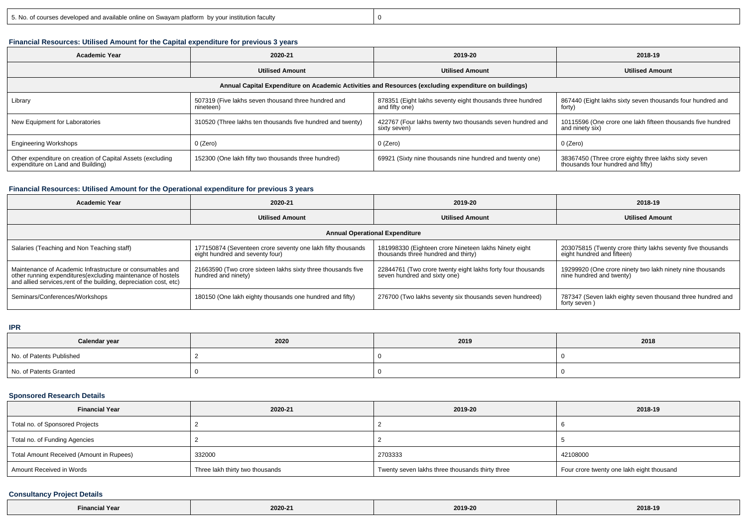y 0

## **Financial Resources: Utilised Amount for the Capital expenditure for previous 3 years**

| Academic Year                                                                                        | 2020-21                                                          | 2019-20                                                                     | 2018-19                                                                                   |  |  |  |  |
|------------------------------------------------------------------------------------------------------|------------------------------------------------------------------|-----------------------------------------------------------------------------|-------------------------------------------------------------------------------------------|--|--|--|--|
|                                                                                                      | <b>Utilised Amount</b>                                           | <b>Utilised Amount</b>                                                      | <b>Utilised Amount</b>                                                                    |  |  |  |  |
| Annual Capital Expenditure on Academic Activities and Resources (excluding expenditure on buildings) |                                                                  |                                                                             |                                                                                           |  |  |  |  |
| Library                                                                                              | 507319 (Five lakhs seven thousand three hundred and<br>nineteen) | 878351 (Eight lakhs seventy eight thousands three hundred<br>and fifty one) | 867440 (Eight lakhs sixty seven thousands four hundred and<br>forty)                      |  |  |  |  |
| New Equipment for Laboratories                                                                       | 310520 (Three lakhs ten thousands five hundred and twenty)       | 422767 (Four lakhs twenty two thousands seven hundred and<br>sixty seven)   | 10115596 (One crore one lakh fifteen thousands five hundred<br>and ninety six)            |  |  |  |  |
| <b>Engineering Workshops</b>                                                                         | 0 (Zero)                                                         | 0 (Zero)                                                                    | 0 (Zero)                                                                                  |  |  |  |  |
| Other expenditure on creation of Capital Assets (excluding<br>expenditure on Land and Building)      | 152300 (One lakh fifty two thousands three hundred)              | 69921 (Sixty nine thousands nine hundred and twenty one)                    | 38367450 (Three crore eighty three lakhs sixty seven<br>thousands four hundred and fifty) |  |  |  |  |

## **Financial Resources: Utilised Amount for the Operational expenditure for previous 3 years**

| Academic Year                                                                                                                                                                                   | 2020-21                                                                                        | 2019-20                                                                                      | 2018-19                                                                                   |  |  |  |  |
|-------------------------------------------------------------------------------------------------------------------------------------------------------------------------------------------------|------------------------------------------------------------------------------------------------|----------------------------------------------------------------------------------------------|-------------------------------------------------------------------------------------------|--|--|--|--|
|                                                                                                                                                                                                 | <b>Utilised Amount</b>                                                                         | <b>Utilised Amount</b>                                                                       | <b>Utilised Amount</b>                                                                    |  |  |  |  |
| <b>Annual Operational Expenditure</b>                                                                                                                                                           |                                                                                                |                                                                                              |                                                                                           |  |  |  |  |
| Salaries (Teaching and Non Teaching staff)                                                                                                                                                      | 177150874 (Seventeen crore seventy one lakh fifty thousands<br>eight hundred and seventy four) | 181998330 (Eighteen crore Nineteen lakhs Ninety eight<br>thousands three hundred and thirty) | 203075815 (Twenty crore thirty lakhs seventy five thousands<br>eight hundred and fifteen) |  |  |  |  |
| Maintenance of Academic Infrastructure or consumables and<br>other running expenditures (excluding maintenance of hostels<br>and allied services, rent of the building, depreciation cost, etc) | 21663590 (Two crore sixteen lakhs sixty three thousands five<br>hundred and ninety)            | 22844761 (Two crore twenty eight lakhs forty four thousands<br>seven hundred and sixty one)  | 19299920 (One crore ninety two lakh ninety nine thousands<br>nine hundred and twenty)     |  |  |  |  |
| Seminars/Conferences/Workshops                                                                                                                                                                  | 180150 (One lakh eighty thousands one hundred and fifty)                                       | 276700 (Two lakhs seventy six thousands seven hundreed)                                      | 787347 (Seven lakh eighty seven thousand three hundred and<br>forty seven)                |  |  |  |  |

### **IPR**

| Calendar year            | 2020 | 2019 | 2018 |
|--------------------------|------|------|------|
| No. of Patents Published |      |      |      |
| No. of Patents Granted   |      |      |      |

## **Sponsored Research Details**

| <b>Financial Year</b>                    | 2020-21                         | 2019-20                                         | 2018-19                                   |
|------------------------------------------|---------------------------------|-------------------------------------------------|-------------------------------------------|
| Total no. of Sponsored Projects          |                                 |                                                 |                                           |
| Total no. of Funding Agencies            |                                 |                                                 |                                           |
| Total Amount Received (Amount in Rupees) | 332000                          | 2703333                                         | 42108000                                  |
| Amount Received in Words                 | Three lakh thirty two thousands | Twenty seven lakhs three thousands thirty three | Four crore twenty one lakh eight thousand |

#### **Consultancy Project Details**

| $-$<br>Yea<br>Finan. | 2020-21 | 2019-20 | 2018-19<br>$\sim$ $\sim$ $\sim$ |
|----------------------|---------|---------|---------------------------------|
|----------------------|---------|---------|---------------------------------|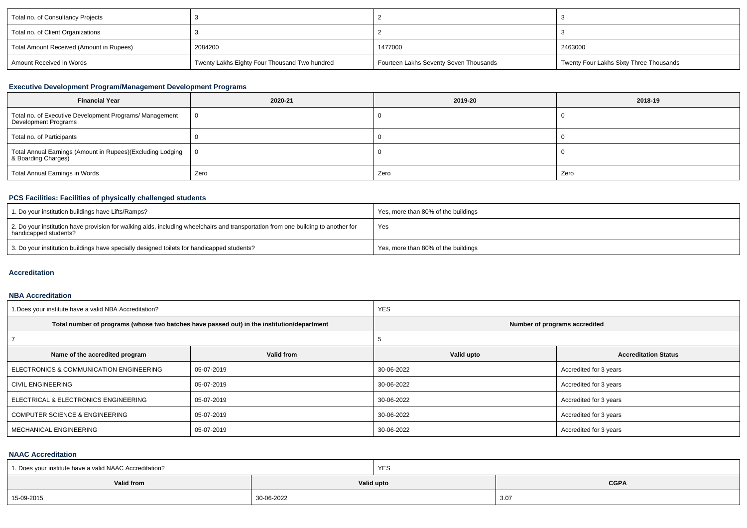| Total no. of Consultancy Projects        |                                               |                                        |                                         |
|------------------------------------------|-----------------------------------------------|----------------------------------------|-----------------------------------------|
| Total no. of Client Organizations        |                                               |                                        |                                         |
| Total Amount Received (Amount in Rupees) | 2084200                                       | 1477000                                | 2463000                                 |
| Amount Received in Words                 | Twenty Lakhs Eighty Four Thousand Two hundred | Fourteen Lakhs Seventy Seven Thousands | Twenty Four Lakhs Sixty Three Thousands |

## **Executive Development Program/Management Development Programs**

| <b>Financial Year</b>                                                             | 2020-21        | 2019-20 | 2018-19 |
|-----------------------------------------------------------------------------------|----------------|---------|---------|
| Total no. of Executive Development Programs/ Management<br>  Development Programs | $\overline{0}$ |         |         |
| Total no. of Participants                                                         |                |         |         |
| Total Annual Earnings (Amount in Rupees)(Excluding Lodging<br>& Boarding Charges) | - 0            |         |         |
| Total Annual Earnings in Words                                                    | Zero           | Zero    | Zero    |

# **PCS Facilities: Facilities of physically challenged students**

| 1. Do your institution buildings have Lifts/Ramps?                                                                                                         | Yes, more than 80% of the buildings |
|------------------------------------------------------------------------------------------------------------------------------------------------------------|-------------------------------------|
| 2. Do your institution have provision for walking aids, including wheelchairs and transportation from one building to another for<br>handicapped students? | Yes                                 |
| 3. Do your institution buildings have specially designed toilets for handicapped students?                                                                 | Yes, more than 80% of the buildings |

## **Accreditation**

#### **NBA Accreditation**

| 1. Does your institute have a valid NBA Accreditation? |                                                                                            | <b>YES</b>                    |                             |  |  |  |
|--------------------------------------------------------|--------------------------------------------------------------------------------------------|-------------------------------|-----------------------------|--|--|--|
|                                                        | Total number of programs (whose two batches have passed out) in the institution/department | Number of programs accredited |                             |  |  |  |
|                                                        |                                                                                            |                               |                             |  |  |  |
| Name of the accredited program                         | Valid from                                                                                 | Valid upto                    | <b>Accreditation Status</b> |  |  |  |
| ELECTRONICS & COMMUNICATION ENGINEERING                | 05-07-2019                                                                                 | 30-06-2022                    | Accredited for 3 years      |  |  |  |
| <b>CIVIL ENGINEERING</b>                               | 05-07-2019                                                                                 | 30-06-2022                    | Accredited for 3 years      |  |  |  |
| ELECTRICAL & ELECTRONICS ENGINEERING                   | 05-07-2019                                                                                 | 30-06-2022                    | Accredited for 3 years      |  |  |  |
| <b>COMPUTER SCIENCE &amp; ENGINEERING</b>              | 05-07-2019                                                                                 | 30-06-2022                    | Accredited for 3 years      |  |  |  |
| MECHANICAL ENGINEERING                                 | 05-07-2019                                                                                 | 30-06-2022                    | Accredited for 3 years      |  |  |  |

### **NAAC Accreditation**

| 1. Does your institute have a valid NAAC Accreditation? |            | YES        |             |  |  |
|---------------------------------------------------------|------------|------------|-------------|--|--|
| Valid from                                              |            | Valid upto | <b>CGPA</b> |  |  |
| 15-09-2015                                              | 30-06-2022 |            | 3.07        |  |  |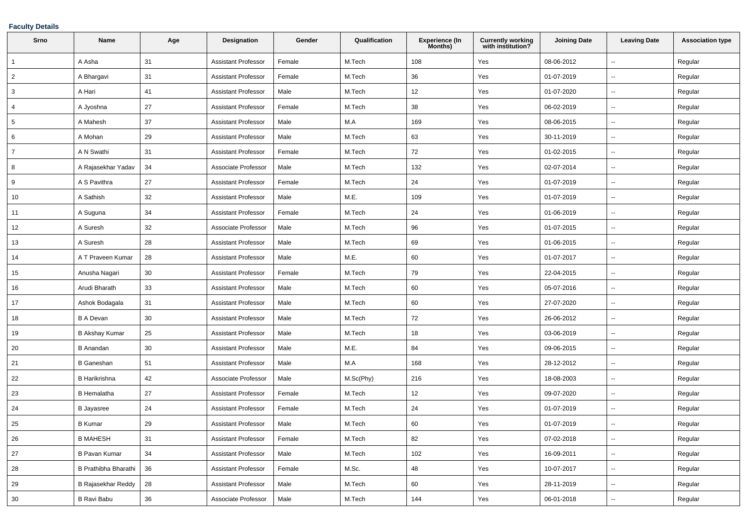### **Faculty Details**

| Srno           | Name                  | Age    | Designation                | Gender | Qualification | Experience (In<br>Months) | <b>Currently working</b><br>with institution? | <b>Joining Date</b> | <b>Leaving Date</b>      | <b>Association type</b> |
|----------------|-----------------------|--------|----------------------------|--------|---------------|---------------------------|-----------------------------------------------|---------------------|--------------------------|-------------------------|
| $\mathbf{1}$   | A Asha                | 31     | Assistant Professor        | Female | M.Tech        | 108                       | Yes                                           | 08-06-2012          | $\sim$                   | Regular                 |
| $\overline{2}$ | A Bhargavi            | 31     | Assistant Professor        | Female | M.Tech        | 36                        | Yes                                           | 01-07-2019          | $\overline{\phantom{a}}$ | Regular                 |
| 3              | A Hari                | 41     | <b>Assistant Professor</b> | Male   | M.Tech        | 12                        | Yes                                           | 01-07-2020          | $\overline{\phantom{a}}$ | Regular                 |
| 4              | A Jyoshna             | 27     | Assistant Professor        | Female | M.Tech        | 38                        | Yes                                           | 06-02-2019          | $\overline{\phantom{a}}$ | Regular                 |
| 5              | A Mahesh              | 37     | <b>Assistant Professor</b> | Male   | M.A           | 169                       | Yes                                           | 08-06-2015          | $\overline{\phantom{a}}$ | Regular                 |
| 6              | A Mohan               | 29     | Assistant Professor        | Male   | M.Tech        | 63                        | Yes                                           | 30-11-2019          | $\ddotsc$                | Regular                 |
| $\overline{7}$ | A N Swathi            | 31     | <b>Assistant Professor</b> | Female | M.Tech        | 72                        | Yes                                           | 01-02-2015          | $\sim$                   | Regular                 |
| 8              | A Rajasekhar Yadav    | 34     | Associate Professor        | Male   | M.Tech        | 132                       | Yes                                           | 02-07-2014          | $\overline{\phantom{a}}$ | Regular                 |
| 9              | A S Pavithra          | 27     | <b>Assistant Professor</b> | Female | M.Tech        | 24                        | Yes                                           | 01-07-2019          | $\mathbf{u}$             | Regular                 |
| 10             | A Sathish             | 32     | Assistant Professor        | Male   | M.E.          | 109                       | Yes                                           | 01-07-2019          | $\overline{\phantom{a}}$ | Regular                 |
| 11             | A Suguna              | 34     | <b>Assistant Professor</b> | Female | M.Tech        | 24                        | Yes                                           | 01-06-2019          | $\overline{\phantom{a}}$ | Regular                 |
| 12             | A Suresh              | 32     | Associate Professor        | Male   | M.Tech        | 96                        | Yes                                           | 01-07-2015          | $\overline{\phantom{a}}$ | Regular                 |
| 13             | A Suresh              | 28     | <b>Assistant Professor</b> | Male   | M.Tech        | 69                        | Yes                                           | 01-06-2015          | $\sim$                   | Regular                 |
| 14             | A T Praveen Kumar     | 28     | Assistant Professor        | Male   | M.E.          | 60                        | Yes                                           | 01-07-2017          | $\overline{\phantom{a}}$ | Regular                 |
| 15             | Anusha Nagari         | 30     | Assistant Professor        | Female | M.Tech        | 79                        | Yes                                           | 22-04-2015          | $\overline{\phantom{a}}$ | Regular                 |
| 16             | Arudi Bharath         | 33     | <b>Assistant Professor</b> | Male   | M.Tech        | 60                        | Yes                                           | 05-07-2016          | $\overline{\phantom{a}}$ | Regular                 |
| 17             | Ashok Bodagala        | 31     | <b>Assistant Professor</b> | Male   | M.Tech        | 60                        | Yes                                           | 27-07-2020          | $\overline{\phantom{a}}$ | Regular                 |
| 18             | <b>B A Devan</b>      | 30     | <b>Assistant Professor</b> | Male   | M.Tech        | 72                        | Yes                                           | 26-06-2012          | $\ddotsc$                | Regular                 |
| 19             | <b>B Akshay Kumar</b> | 25     | <b>Assistant Professor</b> | Male   | M.Tech        | 18                        | Yes                                           | 03-06-2019          | $\sim$                   | Regular                 |
| 20             | <b>B</b> Anandan      | 30     | Assistant Professor        | Male   | M.E.          | 84                        | Yes                                           | 09-06-2015          | $\sim$                   | Regular                 |
| 21             | <b>B</b> Ganeshan     | 51     | Assistant Professor        | Male   | M.A           | 168                       | Yes                                           | 28-12-2012          | $\mathbf{u}$             | Regular                 |
| 22             | <b>B</b> Harikrishna  | 42     | Associate Professor        | Male   | M.Sc(Phy)     | 216                       | Yes                                           | 18-08-2003          | $\sim$                   | Regular                 |
| 23             | <b>B</b> Hemalatha    | 27     | <b>Assistant Professor</b> | Female | M.Tech        | 12                        | Yes                                           | 09-07-2020          | $\overline{\phantom{a}}$ | Regular                 |
| 24             | <b>B</b> Jayasree     | 24     | <b>Assistant Professor</b> | Female | M.Tech        | 24                        | Yes                                           | 01-07-2019          | $\overline{\phantom{a}}$ | Regular                 |
| 25             | <b>B</b> Kumar        | 29     | Assistant Professor        | Male   | M.Tech        | 60                        | Yes                                           | 01-07-2019          | $\overline{\phantom{a}}$ | Regular                 |
| 26             | <b>B MAHESH</b>       | 31     | <b>Assistant Professor</b> | Female | M.Tech        | 82                        | Yes                                           | 07-02-2018          | $\sim$                   | Regular                 |
| 27             | <b>B Pavan Kumar</b>  | 34     | <b>Assistant Professor</b> | Male   | M.Tech        | 102                       | Yes                                           | 16-09-2011          | $\overline{\phantom{a}}$ | Regular                 |
| 28             | B Prathibha Bharathi  | 36     | <b>Assistant Professor</b> | Female | M.Sc.         | 48                        | Yes                                           | 10-07-2017          | $\sim$                   | Regular                 |
| 29             | B Rajasekhar Reddy    | 28     | <b>Assistant Professor</b> | Male   | M.Tech        | 60                        | Yes                                           | 28-11-2019          | $\sim$                   | Regular                 |
| $30\,$         | <b>B Ravi Babu</b>    | $36\,$ | Associate Professor        | Male   | M.Tech        | 144                       | Yes                                           | 06-01-2018          | $\overline{\phantom{a}}$ | Regular                 |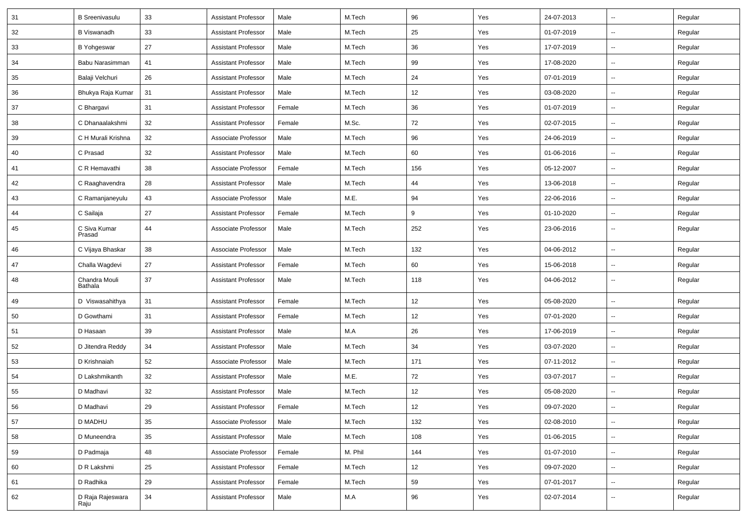| 31 | <b>B</b> Sreenivasulu                 | 33 | <b>Assistant Professor</b> | Male   | M.Tech  | 96  | Yes | 24-07-2013 | $\overline{\phantom{a}}$ | Regular |
|----|---------------------------------------|----|----------------------------|--------|---------|-----|-----|------------|--------------------------|---------|
| 32 | <b>B</b> Viswanadh                    | 33 | <b>Assistant Professor</b> | Male   | M.Tech  | 25  | Yes | 01-07-2019 | н.                       | Regular |
| 33 | <b>B</b> Yohgeswar                    | 27 | <b>Assistant Professor</b> | Male   | M.Tech  | 36  | Yes | 17-07-2019 | Ξ.                       | Regular |
| 34 | Babu Narasimman                       | 41 | <b>Assistant Professor</b> | Male   | M.Tech  | 99  | Yes | 17-08-2020 | $\overline{\phantom{a}}$ | Regular |
| 35 | Balaji Velchuri                       | 26 | <b>Assistant Professor</b> | Male   | M.Tech  | 24  | Yes | 07-01-2019 | -−                       | Regular |
| 36 | Bhukya Raja Kumar                     | 31 | <b>Assistant Professor</b> | Male   | M.Tech  | 12  | Yes | 03-08-2020 | Ξ.                       | Regular |
| 37 | C Bhargavi                            | 31 | <b>Assistant Professor</b> | Female | M.Tech  | 36  | Yes | 01-07-2019 | $\sim$                   | Regular |
| 38 | C Dhanaalakshmi                       | 32 | <b>Assistant Professor</b> | Female | M.Sc.   | 72  | Yes | 02-07-2015 | $\sim$                   | Regular |
| 39 | C H Murali Krishna                    | 32 | Associate Professor        | Male   | M.Tech  | 96  | Yes | 24-06-2019 | Ξ.                       | Regular |
| 40 | C Prasad                              | 32 | <b>Assistant Professor</b> | Male   | M.Tech  | 60  | Yes | 01-06-2016 | --                       | Regular |
| 41 | C R Hemavathi                         | 38 | Associate Professor        | Female | M.Tech  | 156 | Yes | 05-12-2007 | -−                       | Regular |
| 42 | C Raaghavendra                        | 28 | <b>Assistant Professor</b> | Male   | M.Tech  | 44  | Yes | 13-06-2018 | $\sim$                   | Regular |
| 43 | C Ramanjaneyulu                       | 43 | Associate Professor        | Male   | M.E.    | 94  | Yes | 22-06-2016 | $\sim$                   | Regular |
| 44 | C Sailaja                             | 27 | <b>Assistant Professor</b> | Female | M.Tech  | 9   | Yes | 01-10-2020 | $\sim$                   | Regular |
| 45 | C Siva Kumar<br>Prasad                | 44 | Associate Professor        | Male   | M.Tech  | 252 | Yes | 23-06-2016 | $\overline{\phantom{a}}$ | Regular |
| 46 | C Vijaya Bhaskar                      | 38 | Associate Professor        | Male   | M.Tech  | 132 | Yes | 04-06-2012 | Ξ.                       | Regular |
| 47 | Challa Wagdevi                        | 27 | <b>Assistant Professor</b> | Female | M.Tech  | 60  | Yes | 15-06-2018 | $\overline{\phantom{a}}$ | Regular |
| 48 | Chandra Mouli<br>Bathala              | 37 | <b>Assistant Professor</b> | Male   | M.Tech  | 118 | Yes | 04-06-2012 | --                       | Regular |
| 49 | D Viswasahithya                       | 31 | <b>Assistant Professor</b> | Female | M.Tech  | 12  | Yes | 05-08-2020 | -−                       | Regular |
| 50 | D Gowthami                            | 31 | <b>Assistant Professor</b> | Female | M.Tech  | 12  | Yes | 07-01-2020 | --                       | Regular |
| 51 | D Hasaan                              | 39 | <b>Assistant Professor</b> | Male   | M.A     | 26  | Yes | 17-06-2019 | $\sim$                   | Regular |
| 52 | D Jitendra Reddy                      | 34 | <b>Assistant Professor</b> | Male   | M.Tech  | 34  | Yes | 03-07-2020 | ⊷.                       | Regular |
| 53 | D Krishnaiah                          | 52 | Associate Professor        | Male   | M.Tech  | 171 | Yes | 07-11-2012 | Ξ.                       | Regular |
| 54 | D Lakshmikanth                        | 32 | <b>Assistant Professor</b> | Male   | M.E.    | 72  | Yes | 03-07-2017 | --                       | Regular |
| 55 | D Madhavi                             | 32 | <b>Assistant Professor</b> | Male   | M.Tech  | 12  | Yes | 05-08-2020 | -−                       | Regular |
| 56 | D Madhavi                             | 29 | Assistant Professor        | Female | M.Tech  | 12  | Yes | 09-07-2020 |                          | Regular |
| 57 | D MADHU                               | 35 | Associate Professor        | Male   | M.Tech  | 132 | Yes | 02-08-2010 | $\overline{\phantom{a}}$ | Regular |
| 58 | D Muneendra                           | 35 | <b>Assistant Professor</b> | Male   | M.Tech  | 108 | Yes | 01-06-2015 | $\sim$                   | Regular |
| 59 | D Padmaja                             | 48 | Associate Professor        | Female | M. Phil | 144 | Yes | 01-07-2010 | н.                       | Regular |
| 60 | D R Lakshmi                           | 25 | <b>Assistant Professor</b> | Female | M.Tech  | 12  | Yes | 09-07-2020 | $\sim$                   | Regular |
| 61 | D Radhika                             | 29 | <b>Assistant Professor</b> | Female | M.Tech  | 59  | Yes | 07-01-2017 | $\sim$                   | Regular |
| 62 | D Raja Rajeswara<br>Raju <sup>-</sup> | 34 | <b>Assistant Professor</b> | Male   | M.A     | 96  | Yes | 02-07-2014 | $\sim$                   | Regular |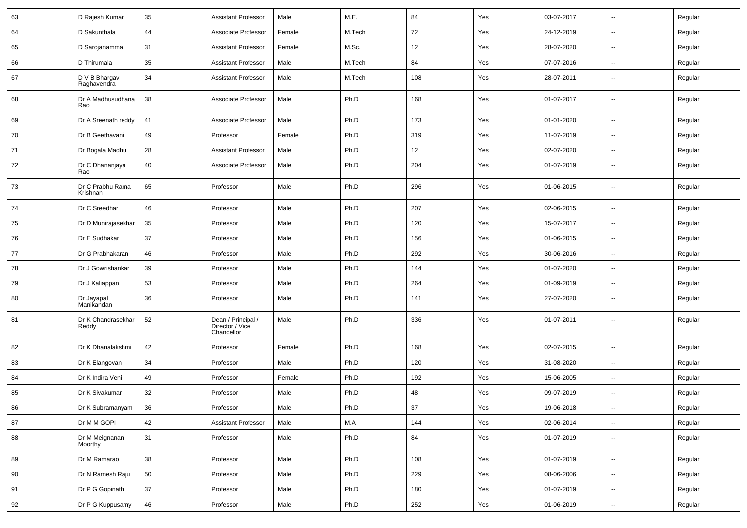| 63 | D Rajesh Kumar               | 35          | <b>Assistant Professor</b>                          | Male   | M.E.   | 84     | Yes | 03-07-2017 | ⊶.                       | Regular |
|----|------------------------------|-------------|-----------------------------------------------------|--------|--------|--------|-----|------------|--------------------------|---------|
| 64 | D Sakunthala                 | 44          | Associate Professor                                 | Female | M.Tech | 72     | Yes | 24-12-2019 | -−                       | Regular |
| 65 | D Sarojanamma                | 31          | <b>Assistant Professor</b>                          | Female | M.Sc.  | 12     | Yes | 28-07-2020 | $\overline{\phantom{a}}$ | Regular |
| 66 | D Thirumala                  | 35          | <b>Assistant Professor</b>                          | Male   | M.Tech | 84     | Yes | 07-07-2016 | --                       | Regular |
| 67 | D V B Bhargav<br>Raghavendra | 34          | <b>Assistant Professor</b>                          | Male   | M.Tech | 108    | Yes | 28-07-2011 | --                       | Regular |
| 68 | Dr A Madhusudhana<br>Rao     | 38          | Associate Professor                                 | Male   | Ph.D   | 168    | Yes | 01-07-2017 | -−                       | Regular |
| 69 | Dr A Sreenath reddy          | 41          | Associate Professor                                 | Male   | Ph.D   | 173    | Yes | 01-01-2020 | -−                       | Regular |
| 70 | Dr B Geethavani              | 49          | Professor                                           | Female | Ph.D   | 319    | Yes | 11-07-2019 | $\sim$                   | Regular |
| 71 | Dr Bogala Madhu              | 28          | <b>Assistant Professor</b>                          | Male   | Ph.D   | 12     | Yes | 02-07-2020 | $\overline{\phantom{a}}$ | Regular |
| 72 | Dr C Dhananjaya<br>Rao       | 40          | Associate Professor                                 | Male   | Ph.D   | 204    | Yes | 01-07-2019 | -−                       | Regular |
| 73 | Dr C Prabhu Rama<br>Krishnan | 65          | Professor                                           | Male   | Ph.D   | 296    | Yes | 01-06-2015 | ⊶.                       | Regular |
| 74 | Dr C Sreedhar                | 46          | Professor                                           | Male   | Ph.D   | 207    | Yes | 02-06-2015 | -−                       | Regular |
| 75 | Dr D Munirajasekhar          | 35          | Professor                                           | Male   | Ph.D   | 120    | Yes | 15-07-2017 | $\overline{\phantom{a}}$ | Regular |
| 76 | Dr E Sudhakar                | 37          | Professor                                           | Male   | Ph.D   | 156    | Yes | 01-06-2015 | --                       | Regular |
| 77 | Dr G Prabhakaran             | 46          | Professor                                           | Male   | Ph.D   | 292    | Yes | 30-06-2016 | -−                       | Regular |
| 78 | Dr J Gowrishankar            | 39          | Professor                                           | Male   | Ph.D   | 144    | Yes | 01-07-2020 | Ξ.                       | Regular |
| 79 | Dr J Kaliappan               | 53          | Professor                                           | Male   | Ph.D   | 264    | Yes | 01-09-2019 | ⊶.                       | Regular |
| 80 | Dr Jayapal<br>Manikandan     | 36          | Professor                                           | Male   | Ph.D   | 141    | Yes | 27-07-2020 | --                       | Regular |
| 81 | Dr K Chandrasekhar<br>Reddy  | 52          | Dean / Principal /<br>Director / Vice<br>Chancellor | Male   | Ph.D   | 336    | Yes | 01-07-2011 | --                       | Regular |
| 82 | Dr K Dhanalakshmi            | 42          | Professor                                           | Female | Ph.D   | 168    | Yes | 02-07-2015 | $\overline{\phantom{a}}$ | Regular |
| 83 | Dr K Elangovan               | 34          | Professor                                           | Male   | Ph.D   | 120    | Yes | 31-08-2020 | ⊶.                       | Regular |
| 84 | Dr K Indira Veni             | 49          | Professor                                           | Female | Ph.D   | 192    | Yes | 15-06-2005 | ⊷.                       | Regular |
| 85 | Dr K Sivakumar               | 32          | Professor                                           | Male   | Ph.D   | 48     | Yes | 09-07-2019 | $\overline{\phantom{a}}$ | Regular |
| 86 | Dr K Subramanyam             | 36          | Professor                                           | Male   | Ph.D   | $37\,$ | Yes | 19-06-2018 |                          | Regular |
| 87 | Dr M M GOPI                  | 42          | <b>Assistant Professor</b>                          | Male   | $M.A$  | 144    | Yes | 02-06-2014 | $\overline{\phantom{a}}$ | Regular |
| 88 | Dr M Meignanan<br>Moorthy    | 31          | Professor                                           | Male   | Ph.D   | 84     | Yes | 01-07-2019 | $\sim$                   | Regular |
| 89 | Dr M Ramarao                 | 38          | Professor                                           | Male   | Ph.D   | 108    | Yes | 01-07-2019 | $\sim$                   | Regular |
| 90 | Dr N Ramesh Raju             | 50          | Professor                                           | Male   | Ph.D   | 229    | Yes | 08-06-2006 | Щ,                       | Regular |
| 91 | Dr P G Gopinath              | 37          | Professor                                           | Male   | Ph.D   | 180    | Yes | 01-07-2019 | Щ,                       | Regular |
| 92 | Dr P G Kuppusamy             | $\sqrt{46}$ | Professor                                           | Male   | Ph.D   | 252    | Yes | 01-06-2019 | $\overline{\phantom{a}}$ | Regular |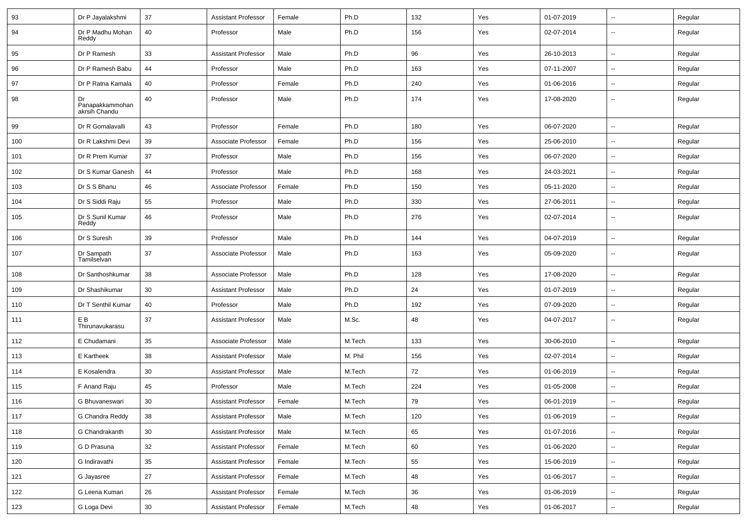| 93  | Dr P Jayalakshmi                       | 37     | <b>Assistant Professor</b> | Female | Ph.D    | 132 | Yes | 01-07-2019 | $\overline{\phantom{a}}$ | Regular |
|-----|----------------------------------------|--------|----------------------------|--------|---------|-----|-----|------------|--------------------------|---------|
| 94  | Dr P Madhu Mohan<br>Reddy              | 40     | Professor                  | Male   | Ph.D    | 156 | Yes | 02-07-2014 | --                       | Regular |
| 95  | Dr P Ramesh                            | 33     | <b>Assistant Professor</b> | Male   | Ph.D    | 96  | Yes | 26-10-2013 | $\overline{a}$           | Regular |
| 96  | Dr P Ramesh Babu                       | 44     | Professor                  | Male   | Ph.D    | 163 | Yes | 07-11-2007 | --                       | Regular |
| 97  | Dr P Ratna Kamala                      | 40     | Professor                  | Female | Ph.D    | 240 | Yes | 01-06-2016 | --                       | Regular |
| 98  | Dr<br>Panapakkammohan<br>akrsih Chandu | 40     | Professor                  | Male   | Ph.D    | 174 | Yes | 17-08-2020 | --                       | Regular |
| 99  | Dr R Gomalavalli                       | 43     | Professor                  | Female | Ph.D    | 180 | Yes | 06-07-2020 | $\overline{\phantom{a}}$ | Regular |
| 100 | Dr R Lakshmi Devi                      | 39     | Associate Professor        | Female | Ph.D    | 156 | Yes | 25-06-2010 | --                       | Regular |
| 101 | Dr R Prem Kumar                        | 37     | Professor                  | Male   | Ph.D    | 156 | Yes | 06-07-2020 | $\overline{\phantom{a}}$ | Regular |
| 102 | Dr S Kumar Ganesh                      | 44     | Professor                  | Male   | Ph.D    | 168 | Yes | 24-03-2021 | $\overline{\phantom{a}}$ | Regular |
| 103 | Dr S S Bhanu                           | 46     | Associate Professor        | Female | Ph.D    | 150 | Yes | 05-11-2020 | --                       | Regular |
| 104 | Dr S Siddi Raju                        | 55     | Professor                  | Male   | Ph.D    | 330 | Yes | 27-06-2011 | --                       | Regular |
| 105 | Dr S Sunil Kumar<br>Reddy              | 46     | Professor                  | Male   | Ph.D    | 276 | Yes | 02-07-2014 | $\overline{\phantom{a}}$ | Regular |
| 106 | Dr S Suresh                            | 39     | Professor                  | Male   | Ph.D    | 144 | Yes | 04-07-2019 | ۵.                       | Regular |
| 107 | Dr Sampath<br>Tamilselvan              | 37     | Associate Professor        | Male   | Ph.D    | 163 | Yes | 05-09-2020 | --                       | Regular |
| 108 | Dr Santhoshkumar                       | 38     | Associate Professor        | Male   | Ph.D    | 128 | Yes | 17-08-2020 | ۵.                       | Regular |
| 109 | Dr Shashikumar                         | 30     | <b>Assistant Professor</b> | Male   | Ph.D    | 24  | Yes | 01-07-2019 | $\overline{\phantom{a}}$ | Regular |
| 110 | Dr T Senthil Kumar                     | 40     | Professor                  | Male   | Ph.D    | 192 | Yes | 07-09-2020 | ⊷.                       | Regular |
| 111 | EB<br>Thirunavukarasu                  | 37     | <b>Assistant Professor</b> | Male   | M.Sc.   | 48  | Yes | 04-07-2017 | --                       | Regular |
| 112 | E Chudamani                            | 35     | Associate Professor        | Male   | M.Tech  | 133 | Yes | 30-06-2010 | --                       | Regular |
| 113 | E Kartheek                             | 38     | <b>Assistant Professor</b> | Male   | M. Phil | 156 | Yes | 02-07-2014 | -−                       | Regular |
| 114 | E Kosalendra                           | 30     | <b>Assistant Professor</b> | Male   | M.Tech  | 72  | Yes | 01-06-2019 | $\overline{\phantom{a}}$ | Regular |
| 115 | F Anand Raju                           | 45     | Professor                  | Male   | M.Tech  | 224 | Yes | 01-05-2008 | $\overline{a}$           | Regular |
| 116 | G Bhuvaneswari                         | 30     | <b>Assistant Professor</b> | Female | M.Tech  | 79  | Yes | 06-01-2019 | $\overline{\phantom{a}}$ | Regular |
| 117 | G Chandra Reddy                        | 38     | <b>Assistant Professor</b> | Male   | M.Tech  | 120 | Yes | 01-06-2019 | $\sim$                   | Regular |
| 118 | G Chandrakanth                         | 30     | <b>Assistant Professor</b> | Male   | M.Tech  | 65  | Yes | 01-07-2016 | $\sim$                   | Regular |
| 119 | G D Prasuna                            | 32     | <b>Assistant Professor</b> | Female | M.Tech  | 60  | Yes | 01-06-2020 | $\sim$                   | Regular |
| 120 | G Indiravathi                          | 35     | <b>Assistant Professor</b> | Female | M.Tech  | 55  | Yes | 15-06-2019 | $\sim$                   | Regular |
| 121 | G Jayasree                             | 27     | <b>Assistant Professor</b> | Female | M.Tech  | 48  | Yes | 01-06-2017 | $\overline{\phantom{a}}$ | Regular |
| 122 | G Leena Kumari                         | 26     | Assistant Professor        | Female | M.Tech  | 36  | Yes | 01-06-2019 | $\sim$                   | Regular |
| 123 | G Loga Devi                            | $30\,$ | <b>Assistant Professor</b> | Female | M.Tech  | 48  | Yes | 01-06-2017 | н.                       | Regular |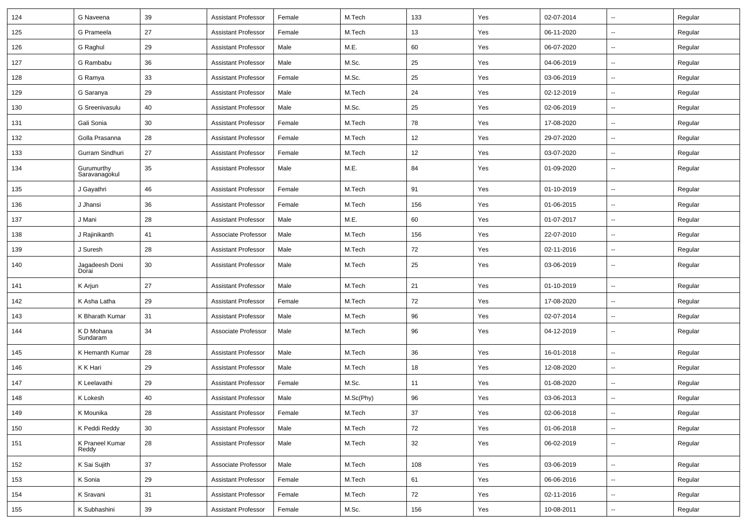| 124 | G Naveena                   | 39     | <b>Assistant Professor</b> | Female | M.Tech    | 133 | Yes | 02-07-2014 | $\overline{\phantom{a}}$ | Regular |
|-----|-----------------------------|--------|----------------------------|--------|-----------|-----|-----|------------|--------------------------|---------|
| 125 | G Prameela                  | 27     | Assistant Professor        | Female | M.Tech    | 13  | Yes | 06-11-2020 | u.                       | Regular |
| 126 | G Raghul                    | 29     | Assistant Professor        | Male   | M.E.      | 60  | Yes | 06-07-2020 | --                       | Regular |
| 127 | G Rambabu                   | 36     | <b>Assistant Professor</b> | Male   | M.Sc.     | 25  | Yes | 04-06-2019 | $\overline{\phantom{a}}$ | Regular |
| 128 | G Ramya                     | 33     | <b>Assistant Professor</b> | Female | M.Sc.     | 25  | Yes | 03-06-2019 | ۰.                       | Regular |
| 129 | G Saranya                   | 29     | Assistant Professor        | Male   | M.Tech    | 24  | Yes | 02-12-2019 | Ξ.                       | Regular |
| 130 | G Sreenivasulu              | 40     | <b>Assistant Professor</b> | Male   | M.Sc.     | 25  | Yes | 02-06-2019 | $\overline{\phantom{a}}$ | Regular |
| 131 | Gali Sonia                  | 30     | Assistant Professor        | Female | M.Tech    | 78  | Yes | 17-08-2020 | $\overline{\phantom{a}}$ | Regular |
| 132 | Golla Prasanna              | 28     | <b>Assistant Professor</b> | Female | M.Tech    | 12  | Yes | 29-07-2020 | --                       | Regular |
| 133 | Gurram Sindhuri             | 27     | Assistant Professor        | Female | M.Tech    | 12  | Yes | 03-07-2020 | $\overline{\phantom{a}}$ | Regular |
| 134 | Gurumurthy<br>Saravanagokul | 35     | <b>Assistant Professor</b> | Male   | M.E.      | 84  | Yes | 01-09-2020 | ۰.                       | Regular |
| 135 | J Gayathri                  | 46     | Assistant Professor        | Female | M.Tech    | 91  | Yes | 01-10-2019 | --                       | Regular |
| 136 | J Jhansi                    | 36     | Assistant Professor        | Female | M.Tech    | 156 | Yes | 01-06-2015 | $\overline{\phantom{a}}$ | Regular |
| 137 | J Mani                      | 28     | <b>Assistant Professor</b> | Male   | M.E.      | 60  | Yes | 01-07-2017 | $\overline{\phantom{a}}$ | Regular |
| 138 | J Rajinikanth               | 41     | Associate Professor        | Male   | M.Tech    | 156 | Yes | 22-07-2010 | $\overline{\phantom{a}}$ | Regular |
| 139 | J Suresh                    | 28     | Assistant Professor        | Male   | M.Tech    | 72  | Yes | 02-11-2016 | ۰.                       | Regular |
| 140 | Jagadeesh Doni<br>Dorai     | 30     | <b>Assistant Professor</b> | Male   | M.Tech    | 25  | Yes | 03-06-2019 | $\overline{\phantom{a}}$ | Regular |
| 141 | K Arjun                     | 27     | <b>Assistant Professor</b> | Male   | M.Tech    | 21  | Yes | 01-10-2019 | u.                       | Regular |
| 142 | K Asha Latha                | 29     | Assistant Professor        | Female | M.Tech    | 72  | Yes | 17-08-2020 | $\overline{a}$           | Regular |
| 143 | K Bharath Kumar             | 31     | <b>Assistant Professor</b> | Male   | M.Tech    | 96  | Yes | 02-07-2014 | --                       | Regular |
| 144 | K D Mohana<br>Sundaram      | 34     | Associate Professor        | Male   | M.Tech    | 96  | Yes | 04-12-2019 | $\overline{\phantom{a}}$ | Regular |
| 145 | K Hemanth Kumar             | 28     | <b>Assistant Professor</b> | Male   | M.Tech    | 36  | Yes | 16-01-2018 | u.                       | Regular |
| 146 | K K Hari                    | 29     | Assistant Professor        | Male   | M.Tech    | 18  | Yes | 12-08-2020 | $\overline{\phantom{a}}$ | Regular |
| 147 | K Leelavathi                | 29     | <b>Assistant Professor</b> | Female | M.Sc.     | 11  | Yes | 01-08-2020 | $\overline{\phantom{a}}$ | Regular |
| 148 | K Lokesh                    | 40     | <b>Assistant Professor</b> | Male   | M.Sc(Phy) | 96  | Yes | 03-06-2013 | --                       | Regular |
| 149 | K Mounika                   | 28     | <b>Assistant Professor</b> | Female | M.Tech    | 37  | Yes | 02-06-2018 | Ξ.                       | Regular |
| 150 | K Peddi Reddy               | 30     | <b>Assistant Professor</b> | Male   | M.Tech    | 72  | Yes | 01-06-2018 | $\overline{\phantom{a}}$ | Regular |
| 151 | K Praneel Kumar<br>Reddy    | 28     | <b>Assistant Professor</b> | Male   | M.Tech    | 32  | Yes | 06-02-2019 | $\overline{\phantom{a}}$ | Regular |
| 152 | K Sai Sujith                | 37     | Associate Professor        | Male   | M.Tech    | 108 | Yes | 03-06-2019 | $\sim$                   | Regular |
| 153 | K Sonia                     | 29     | <b>Assistant Professor</b> | Female | M.Tech    | 61  | Yes | 06-06-2016 | $\sim$                   | Regular |
| 154 | K Sravani                   | 31     | <b>Assistant Professor</b> | Female | M.Tech    | 72  | Yes | 02-11-2016 | ⊷.                       | Regular |
| 155 | K Subhashini                | $39\,$ | Assistant Professor        | Female | M.Sc.     | 156 | Yes | 10-08-2011 | --                       | Regular |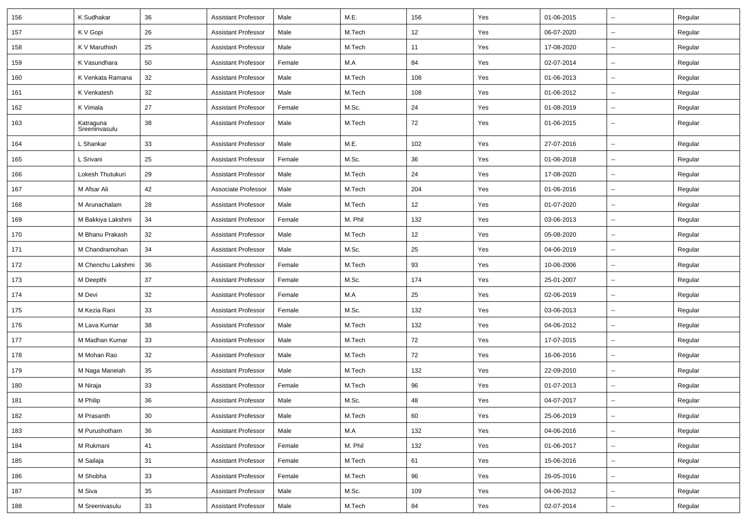| 156 | K Sudhakar                 | 36 | <b>Assistant Professor</b> | Male   | M.E.    | 156 | Yes | 01-06-2015 | $\overline{\phantom{a}}$ | Regular |
|-----|----------------------------|----|----------------------------|--------|---------|-----|-----|------------|--------------------------|---------|
| 157 | K V Gopi                   | 26 | <b>Assistant Professor</b> | Male   | M.Tech  | 12  | Yes | 06-07-2020 | $\sim$                   | Regular |
| 158 | K V Maruthish              | 25 | <b>Assistant Professor</b> | Male   | M.Tech  | 11  | Yes | 17-08-2020 |                          | Regular |
| 159 | K Vasundhara               | 50 | <b>Assistant Professor</b> | Female | M.A     | 84  | Yes | 02-07-2014 | --                       | Regular |
| 160 | K Venkata Ramana           | 32 | <b>Assistant Professor</b> | Male   | M.Tech  | 108 | Yes | 01-06-2013 | $\overline{\phantom{a}}$ | Regular |
| 161 | K Venkatesh                | 32 | <b>Assistant Professor</b> | Male   | M.Tech  | 108 | Yes | 01-06-2012 | $\overline{\phantom{a}}$ | Regular |
| 162 | K Vimala                   | 27 | <b>Assistant Professor</b> | Female | M.Sc.   | 24  | Yes | 01-08-2019 | ÷.                       | Regular |
| 163 | Katraguna<br>Sreeninvasulu | 38 | <b>Assistant Professor</b> | Male   | M.Tech  | 72  | Yes | 01-06-2015 | $\sim$                   | Regular |
| 164 | L Shankar                  | 33 | <b>Assistant Professor</b> | Male   | M.E.    | 102 | Yes | 27-07-2016 | $\sim$                   | Regular |
| 165 | L Srivani                  | 25 | <b>Assistant Professor</b> | Female | M.Sc.   | 36  | Yes | 01-06-2018 | --                       | Regular |
| 166 | Lokesh Thutukuri           | 29 | <b>Assistant Professor</b> | Male   | M.Tech  | 24  | Yes | 17-08-2020 |                          | Regular |
| 167 | M Afsar Ali                | 42 | Associate Professor        | Male   | M.Tech  | 204 | Yes | 01-06-2016 | $\overline{\phantom{a}}$ | Regular |
| 168 | M Arunachalam              | 28 | <b>Assistant Professor</b> | Male   | M.Tech  | 12  | Yes | 01-07-2020 | $\sim$                   | Regular |
| 169 | M Bakkiya Lakshmi          | 34 | <b>Assistant Professor</b> | Female | M. Phil | 132 | Yes | 03-06-2013 | $\overline{\phantom{a}}$ | Regular |
| 170 | M Bhanu Prakash            | 32 | <b>Assistant Professor</b> | Male   | M.Tech  | 12  | Yes | 05-08-2020 | $\sim$                   | Regular |
| 171 | M Chandramohan             | 34 | <b>Assistant Professor</b> | Male   | M.Sc.   | 25  | Yes | 04-06-2019 |                          | Regular |
| 172 | M Chenchu Lakshmi          | 36 | <b>Assistant Professor</b> | Female | M.Tech  | 93  | Yes | 10-06-2006 | --                       | Regular |
| 173 | M Deepthi                  | 37 | <b>Assistant Professor</b> | Female | M.Sc.   | 174 | Yes | 25-01-2007 | $\overline{\phantom{a}}$ | Regular |
| 174 | M Devi                     | 32 | <b>Assistant Professor</b> | Female | M.A     | 25  | Yes | 02-06-2019 | --                       | Regular |
| 175 | M Kezia Rani               | 33 | <b>Assistant Professor</b> | Female | M.Sc.   | 132 | Yes | 03-06-2013 | $\overline{\phantom{a}}$ | Regular |
| 176 | M Lava Kumar               | 38 | <b>Assistant Professor</b> | Male   | M.Tech  | 132 | Yes | 04-06-2012 | $\sim$                   | Regular |
| 177 | M Madhan Kumar             | 33 | <b>Assistant Professor</b> | Male   | M.Tech  | 72  | Yes | 17-07-2015 | $\overline{\phantom{a}}$ | Regular |
| 178 | M Mohan Rao                | 32 | <b>Assistant Professor</b> | Male   | M.Tech  | 72  | Yes | 16-06-2016 |                          | Regular |
| 179 | M Naga Maneiah             | 35 | <b>Assistant Professor</b> | Male   | M.Tech  | 132 | Yes | 22-09-2010 | $\overline{\phantom{a}}$ | Regular |
| 180 | M Niraja                   | 33 | <b>Assistant Professor</b> | Female | M.Tech  | 96  | Yes | 01-07-2013 | $\overline{\phantom{a}}$ | Regular |
| 181 | M Philip                   | 36 | Assistant Professor        | Male   | M.Sc.   | 48  | Yes | 04-07-2017 |                          | Regular |
| 182 | M Prasanth                 | 30 | <b>Assistant Professor</b> | Male   | M.Tech  | 60  | Yes | 25-06-2019 | $\sim$                   | Regular |
| 183 | M Purushotham              | 36 | Assistant Professor        | Male   | M.A     | 132 | Yes | 04-06-2016 | н.                       | Regular |
| 184 | M Rukmani                  | 41 | Assistant Professor        | Female | M. Phil | 132 | Yes | 01-06-2017 | $\overline{\phantom{a}}$ | Regular |
| 185 | M Sailaja                  | 31 | <b>Assistant Professor</b> | Female | M.Tech  | 61  | Yes | 15-06-2016 | $\sim$                   | Regular |
| 186 | M Shobha                   | 33 | <b>Assistant Professor</b> | Female | M.Tech  | 96  | Yes | 26-05-2016 | $\sim$                   | Regular |
| 187 | M Siva                     | 35 | <b>Assistant Professor</b> | Male   | M.Sc.   | 109 | Yes | 04-06-2012 | Ξ.                       | Regular |
| 188 | M Sreenivasulu             | 33 | <b>Assistant Professor</b> | Male   | M.Tech  | 84  | Yes | 02-07-2014 | $\overline{\phantom{a}}$ | Regular |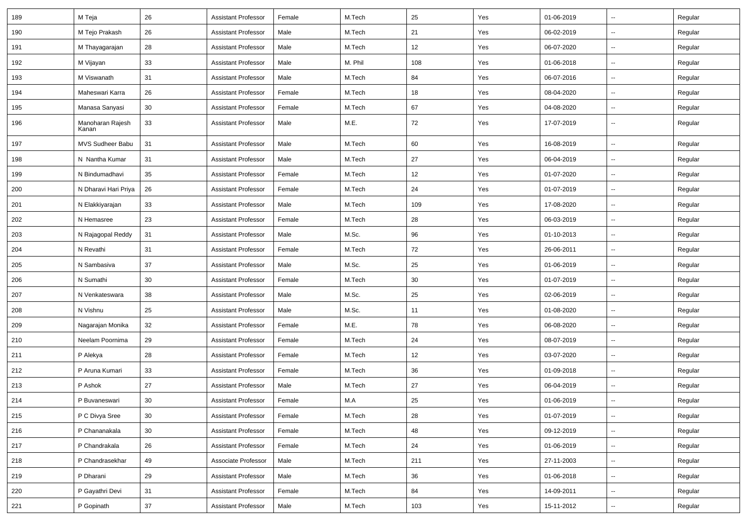| 189 | M Teja                    | 26 | <b>Assistant Professor</b> | Female | M.Tech  | 25  | Yes | 01-06-2019 | $\overline{\phantom{a}}$ | Regular |
|-----|---------------------------|----|----------------------------|--------|---------|-----|-----|------------|--------------------------|---------|
| 190 | M Tejo Prakash            | 26 | <b>Assistant Professor</b> | Male   | M.Tech  | 21  | Yes | 06-02-2019 | ⊷.                       | Regular |
| 191 | M Thayagarajan            | 28 | <b>Assistant Professor</b> | Male   | M.Tech  | 12  | Yes | 06-07-2020 | $\overline{\phantom{a}}$ | Regular |
| 192 | M Vijayan                 | 33 | <b>Assistant Professor</b> | Male   | M. Phil | 108 | Yes | 01-06-2018 | --                       | Regular |
| 193 | M Viswanath               | 31 | <b>Assistant Professor</b> | Male   | M.Tech  | 84  | Yes | 06-07-2016 | --                       | Regular |
| 194 | Maheswari Karra           | 26 | <b>Assistant Professor</b> | Female | M.Tech  | 18  | Yes | 08-04-2020 | $\sim$                   | Regular |
| 195 | Manasa Sanyasi            | 30 | <b>Assistant Professor</b> | Female | M.Tech  | 67  | Yes | 04-08-2020 | $\overline{\phantom{a}}$ | Regular |
| 196 | Manoharan Rajesh<br>Kanan | 33 | <b>Assistant Professor</b> | Male   | M.E.    | 72  | Yes | 17-07-2019 | $\overline{\phantom{a}}$ | Regular |
| 197 | MVS Sudheer Babu          | 31 | <b>Assistant Professor</b> | Male   | M.Tech  | 60  | Yes | 16-08-2019 | $\overline{\phantom{a}}$ | Regular |
| 198 | N Nantha Kumar            | 31 | <b>Assistant Professor</b> | Male   | M.Tech  | 27  | Yes | 06-04-2019 | $\overline{\phantom{a}}$ | Regular |
| 199 | N Bindumadhavi            | 35 | <b>Assistant Professor</b> | Female | M.Tech  | 12  | Yes | 01-07-2020 | --                       | Regular |
| 200 | N Dharavi Hari Priya      | 26 | <b>Assistant Professor</b> | Female | M.Tech  | 24  | Yes | 01-07-2019 | --                       | Regular |
| 201 | N Elakkiyarajan           | 33 | <b>Assistant Professor</b> | Male   | M.Tech  | 109 | Yes | 17-08-2020 | $\mathbf{u}$             | Regular |
| 202 | N Hemasree                | 23 | <b>Assistant Professor</b> | Female | M.Tech  | 28  | Yes | 06-03-2019 | $\overline{\phantom{a}}$ | Regular |
| 203 | N Rajagopal Reddy         | 31 | <b>Assistant Professor</b> | Male   | M.Sc.   | 96  | Yes | 01-10-2013 | ⊷.                       | Regular |
| 204 | N Revathi                 | 31 | <b>Assistant Professor</b> | Female | M.Tech  | 72  | Yes | 26-06-2011 | $\overline{\phantom{a}}$ | Regular |
| 205 | N Sambasiva               | 37 | <b>Assistant Professor</b> | Male   | M.Sc.   | 25  | Yes | 01-06-2019 | --                       | Regular |
| 206 | N Sumathi                 | 30 | <b>Assistant Professor</b> | Female | M.Tech  | 30  | Yes | 01-07-2019 | --                       | Regular |
| 207 | N Venkateswara            | 38 | <b>Assistant Professor</b> | Male   | M.Sc.   | 25  | Yes | 02-06-2019 | ۵.                       | Regular |
| 208 | N Vishnu                  | 25 | <b>Assistant Professor</b> | Male   | M.Sc.   | 11  | Yes | 01-08-2020 | $\overline{\phantom{a}}$ | Regular |
| 209 | Nagarajan Monika          | 32 | <b>Assistant Professor</b> | Female | M.E.    | 78  | Yes | 06-08-2020 | $\overline{\phantom{a}}$ | Regular |
| 210 | Neelam Poornima           | 29 | <b>Assistant Professor</b> | Female | M.Tech  | 24  | Yes | 08-07-2019 | --                       | Regular |
| 211 | P Alekya                  | 28 | <b>Assistant Professor</b> | Female | M.Tech  | 12  | Yes | 03-07-2020 | --                       | Regular |
| 212 | P Aruna Kumari            | 33 | <b>Assistant Professor</b> | Female | M.Tech  | 36  | Yes | 01-09-2018 | --                       | Regular |
| 213 | P Ashok                   | 27 | <b>Assistant Professor</b> | Male   | M.Tech  | 27  | Yes | 06-04-2019 | --                       | Regular |
| 214 | P Buvaneswari             | 30 | <b>Assistant Professor</b> | Female | M.A     | 25  | Yes | 01-06-2019 | --                       | Regular |
| 215 | P C Divya Sree            | 30 | <b>Assistant Professor</b> | Female | M.Tech  | 28  | Yes | 01-07-2019 | $\sim$                   | Regular |
| 216 | P Chananakala             | 30 | <b>Assistant Professor</b> | Female | M.Tech  | 48  | Yes | 09-12-2019 | щ.                       | Regular |
| 217 | P Chandrakala             | 26 | <b>Assistant Professor</b> | Female | M.Tech  | 24  | Yes | 01-06-2019 | $\sim$                   | Regular |
| 218 | P Chandrasekhar           | 49 | Associate Professor        | Male   | M.Tech  | 211 | Yes | 27-11-2003 | -−                       | Regular |
| 219 | P Dharani                 | 29 | <b>Assistant Professor</b> | Male   | M.Tech  | 36  | Yes | 01-06-2018 | ц.                       | Regular |
| 220 | P Gayathri Devi           | 31 | <b>Assistant Professor</b> | Female | M.Tech  | 84  | Yes | 14-09-2011 | $\sim$                   | Regular |
| 221 | P Gopinath                | 37 | <b>Assistant Professor</b> | Male   | M.Tech  | 103 | Yes | 15-11-2012 | $\overline{\phantom{a}}$ | Regular |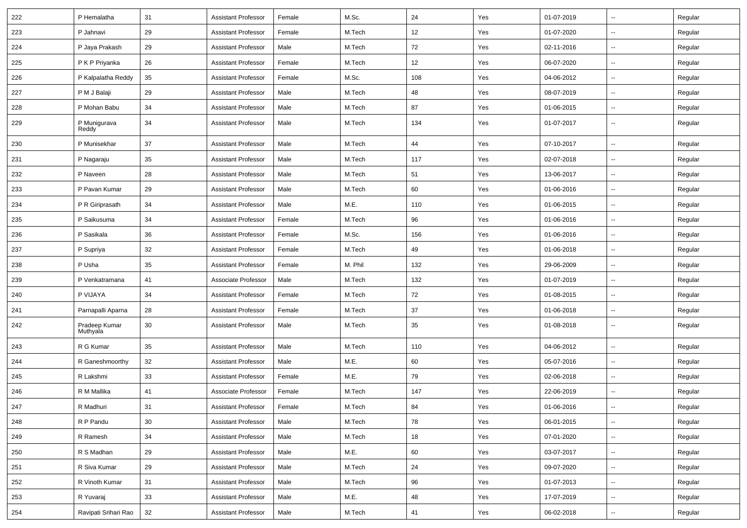| 222 | P Hemalatha               | 31 | <b>Assistant Professor</b> | Female | M.Sc.   | 24  | Yes | 01-07-2019 | $\overline{\phantom{a}}$ | Regular |
|-----|---------------------------|----|----------------------------|--------|---------|-----|-----|------------|--------------------------|---------|
| 223 | P Jahnavi                 | 29 | <b>Assistant Professor</b> | Female | M.Tech  | 12  | Yes | 01-07-2020 | $\sim$                   | Regular |
| 224 | P Jaya Prakash            | 29 | <b>Assistant Professor</b> | Male   | M.Tech  | 72  | Yes | 02-11-2016 | $\overline{\phantom{a}}$ | Regular |
| 225 | P K P Priyanka            | 26 | <b>Assistant Professor</b> | Female | M.Tech  | 12  | Yes | 06-07-2020 | $\overline{\phantom{a}}$ | Regular |
| 226 | P Kalpalatha Reddy        | 35 | <b>Assistant Professor</b> | Female | M.Sc.   | 108 | Yes | 04-06-2012 | $\overline{a}$           | Regular |
| 227 | P M J Balaji              | 29 | <b>Assistant Professor</b> | Male   | M.Tech  | 48  | Yes | 08-07-2019 | $\overline{\phantom{a}}$ | Regular |
| 228 | P Mohan Babu              | 34 | <b>Assistant Professor</b> | Male   | M.Tech  | 87  | Yes | 01-06-2015 | $\sim$                   | Regular |
| 229 | P Munigurava<br>Reddy     | 34 | <b>Assistant Professor</b> | Male   | M.Tech  | 134 | Yes | 01-07-2017 | $\sim$                   | Regular |
| 230 | P Munisekhar              | 37 | <b>Assistant Professor</b> | Male   | M.Tech  | 44  | Yes | 07-10-2017 | ⊷.                       | Regular |
| 231 | P Nagaraju                | 35 | <b>Assistant Professor</b> | Male   | M.Tech  | 117 | Yes | 02-07-2018 | Ξ.                       | Regular |
| 232 | P Naveen                  | 28 | <b>Assistant Professor</b> | Male   | M.Tech  | 51  | Yes | 13-06-2017 |                          | Regular |
| 233 | P Pavan Kumar             | 29 | <b>Assistant Professor</b> | Male   | M.Tech  | 60  | Yes | 01-06-2016 | $\overline{\phantom{a}}$ | Regular |
| 234 | P R Giriprasath           | 34 | <b>Assistant Professor</b> | Male   | M.E.    | 110 | Yes | 01-06-2015 | $\overline{\phantom{a}}$ | Regular |
| 235 | P Saikusuma               | 34 | <b>Assistant Professor</b> | Female | M.Tech  | 96  | Yes | 01-06-2016 | $\sim$                   | Regular |
| 236 | P Sasikala                | 36 | <b>Assistant Professor</b> | Female | M.Sc.   | 156 | Yes | 01-06-2016 | $\sim$                   | Regular |
| 237 | P Supriya                 | 32 | <b>Assistant Professor</b> | Female | M.Tech  | 49  | Yes | 01-06-2018 | $\overline{\phantom{a}}$ | Regular |
| 238 | P Usha                    | 35 | <b>Assistant Professor</b> | Female | M. Phil | 132 | Yes | 29-06-2009 | $\overline{\phantom{a}}$ | Regular |
| 239 | P Venkatramana            | 41 | Associate Professor        | Male   | M.Tech  | 132 | Yes | 01-07-2019 | --                       | Regular |
| 240 | P VIJAYA                  | 34 | <b>Assistant Professor</b> | Female | M.Tech  | 72  | Yes | 01-08-2015 | $\overline{\phantom{a}}$ | Regular |
| 241 | Parnapalli Aparna         | 28 | <b>Assistant Professor</b> | Female | M.Tech  | 37  | Yes | 01-06-2018 | $\sim$                   | Regular |
| 242 | Pradeep Kumar<br>Muthyala | 30 | <b>Assistant Professor</b> | Male   | M.Tech  | 35  | Yes | 01-08-2018 | ⊷.                       | Regular |
| 243 | R G Kumar                 | 35 | <b>Assistant Professor</b> | Male   | M.Tech  | 110 | Yes | 04-06-2012 | $\overline{\phantom{a}}$ | Regular |
| 244 | R Ganeshmoorthy           | 32 | <b>Assistant Professor</b> | Male   | M.E.    | 60  | Yes | 05-07-2016 | -−                       | Regular |
| 245 | R Lakshmi                 | 33 | <b>Assistant Professor</b> | Female | M.E.    | 79  | Yes | 02-06-2018 |                          | Regular |
| 246 | R M Mallika               | 41 | Associate Professor        | Female | M.Tech  | 147 | Yes | 22-06-2019 | $\overline{\phantom{a}}$ | Regular |
| 247 | R Madhuri                 | 31 | Assistant Professor        | Female | M.Tech  | 84  | Yes | 01-06-2016 |                          | Regular |
| 248 | R P Pandu                 | 30 | Assistant Professor        | Male   | M.Tech  | 78  | Yes | 06-01-2015 | $\sim$                   | Regular |
| 249 | R Ramesh                  | 34 | <b>Assistant Professor</b> | Male   | M.Tech  | 18  | Yes | 07-01-2020 | $\sim$                   | Regular |
| 250 | R S Madhan                | 29 | <b>Assistant Professor</b> | Male   | M.E.    | 60  | Yes | 03-07-2017 | н.                       | Regular |
| 251 | R Siva Kumar              | 29 | <b>Assistant Professor</b> | Male   | M.Tech  | 24  | Yes | 09-07-2020 | н.                       | Regular |
| 252 | R Vinoth Kumar            | 31 | <b>Assistant Professor</b> | Male   | M.Tech  | 96  | Yes | 01-07-2013 | $\sim$                   | Regular |
| 253 | R Yuvaraj                 | 33 | <b>Assistant Professor</b> | Male   | M.E.    | 48  | Yes | 17-07-2019 | $\sim$                   | Regular |
| 254 | Ravipati Srihari Rao      | 32 | Assistant Professor        | Male   | M.Tech  | 41  | Yes | 06-02-2018 | $\sim$                   | Regular |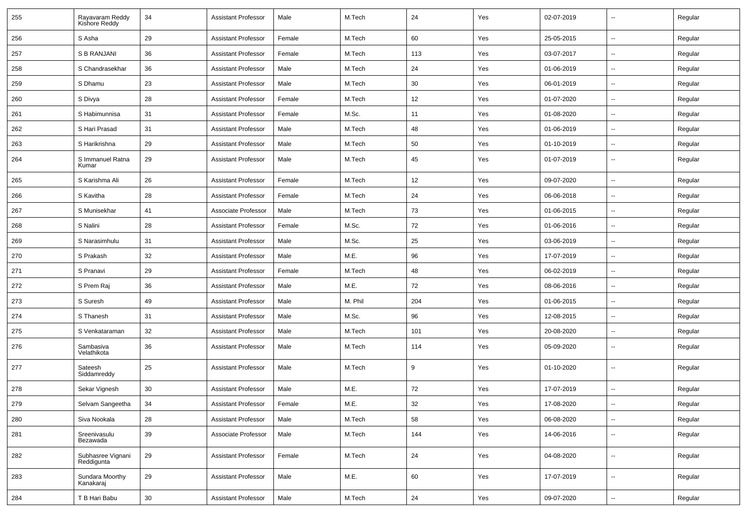| 255 | Rayavaram Reddy<br>Kishore Reddy | 34 | <b>Assistant Professor</b> | Male   | M.Tech  | 24  | Yes | 02-07-2019 | $\sim$                   | Regular |
|-----|----------------------------------|----|----------------------------|--------|---------|-----|-----|------------|--------------------------|---------|
| 256 | S Asha                           | 29 | <b>Assistant Professor</b> | Female | M.Tech  | 60  | Yes | 25-05-2015 | $\sim$                   | Regular |
| 257 | S B RANJANI                      | 36 | <b>Assistant Professor</b> | Female | M.Tech  | 113 | Yes | 03-07-2017 | --                       | Regular |
| 258 | S Chandrasekhar                  | 36 | <b>Assistant Professor</b> | Male   | M.Tech  | 24  | Yes | 01-06-2019 | --                       | Regular |
| 259 | S Dhamu                          | 23 | <b>Assistant Professor</b> | Male   | M.Tech  | 30  | Yes | 06-01-2019 | $\overline{a}$           | Regular |
| 260 | S Divya                          | 28 | <b>Assistant Professor</b> | Female | M.Tech  | 12  | Yes | 01-07-2020 | $\overline{\phantom{a}}$ | Regular |
| 261 | S Habimunnisa                    | 31 | <b>Assistant Professor</b> | Female | M.Sc.   | 11  | Yes | 01-08-2020 | $\sim$                   | Regular |
| 262 | S Hari Prasad                    | 31 | <b>Assistant Professor</b> | Male   | M.Tech  | 48  | Yes | 01-06-2019 | $\sim$                   | Regular |
| 263 | S Harikrishna                    | 29 | <b>Assistant Professor</b> | Male   | M.Tech  | 50  | Yes | 01-10-2019 | $\overline{\phantom{a}}$ | Regular |
| 264 | S Immanuel Ratna<br>Kumar        | 29 | <b>Assistant Professor</b> | Male   | M.Tech  | 45  | Yes | 01-07-2019 | --                       | Regular |
| 265 | S Karishma Ali                   | 26 | <b>Assistant Professor</b> | Female | M.Tech  | 12  | Yes | 09-07-2020 | $\overline{\phantom{a}}$ | Regular |
| 266 | S Kavitha                        | 28 | <b>Assistant Professor</b> | Female | M.Tech  | 24  | Yes | 06-06-2018 | $\sim$                   | Regular |
| 267 | S Munisekhar                     | 41 | Associate Professor        | Male   | M.Tech  | 73  | Yes | 01-06-2015 | $\sim$                   | Regular |
| 268 | S Nalini                         | 28 | <b>Assistant Professor</b> | Female | M.Sc.   | 72  | Yes | 01-06-2016 | $\sim$                   | Regular |
| 269 | S Narasimhulu                    | 31 | <b>Assistant Professor</b> | Male   | M.Sc.   | 25  | Yes | 03-06-2019 | $\sim$                   | Regular |
| 270 | S Prakash                        | 32 | <b>Assistant Professor</b> | Male   | M.E.    | 96  | Yes | 17-07-2019 | $\overline{\phantom{a}}$ | Regular |
| 271 | S Pranavi                        | 29 | <b>Assistant Professor</b> | Female | M.Tech  | 48  | Yes | 06-02-2019 | $\overline{a}$           | Regular |
| 272 | S Prem Raj                       | 36 | <b>Assistant Professor</b> | Male   | M.E.    | 72  | Yes | 08-06-2016 | $\overline{\phantom{a}}$ | Regular |
| 273 | S Suresh                         | 49 | <b>Assistant Professor</b> | Male   | M. Phil | 204 | Yes | 01-06-2015 | $\sim$                   | Regular |
| 274 | S Thanesh                        | 31 | <b>Assistant Professor</b> | Male   | M.Sc.   | 96  | Yes | 12-08-2015 | $\sim$                   | Regular |
| 275 | S Venkataraman                   | 32 | <b>Assistant Professor</b> | Male   | M.Tech  | 101 | Yes | 20-08-2020 | $\sim$                   | Regular |
| 276 | Sambasiva<br>Velathikota         | 36 | <b>Assistant Professor</b> | Male   | M.Tech  | 114 | Yes | 05-09-2020 | $\overline{\phantom{a}}$ | Regular |
| 277 | Sateesh<br>Siddamreddy           | 25 | <b>Assistant Professor</b> | Male   | M.Tech  | 9   | Yes | 01-10-2020 | $\sim$                   | Regular |
| 278 | Sekar Vignesh                    | 30 | <b>Assistant Professor</b> | Male   | M.E.    | 72  | Yes | 17-07-2019 | $\overline{\phantom{a}}$ | Regular |
| 279 | Selvam Sangeetha                 | 34 | <b>Assistant Professor</b> | Female | M.E.    | 32  | Yes | 17-08-2020 | $\overline{\phantom{a}}$ | Regular |
| 280 | Siva Nookala                     | 28 | <b>Assistant Professor</b> | Male   | M.Tech  | 58  | Yes | 06-08-2020 | $\sim$                   | Regular |
| 281 | Sreenivasulu<br>Bezawada         | 39 | Associate Professor        | Male   | M.Tech  | 144 | Yes | 14-06-2016 | $\overline{\phantom{a}}$ | Regular |
| 282 | Subhasree Vignani<br>Reddigunta  | 29 | <b>Assistant Professor</b> | Female | M.Tech  | 24  | Yes | 04-08-2020 | $\overline{\phantom{a}}$ | Regular |
| 283 | Sundara Moorthy<br>Kanakaraj     | 29 | <b>Assistant Professor</b> | Male   | M.E.    | 60  | Yes | 17-07-2019 | $\overline{\phantom{a}}$ | Regular |
| 284 | T B Hari Babu                    | 30 | <b>Assistant Professor</b> | Male   | M.Tech  | 24  | Yes | 09-07-2020 | $\sim$                   | Regular |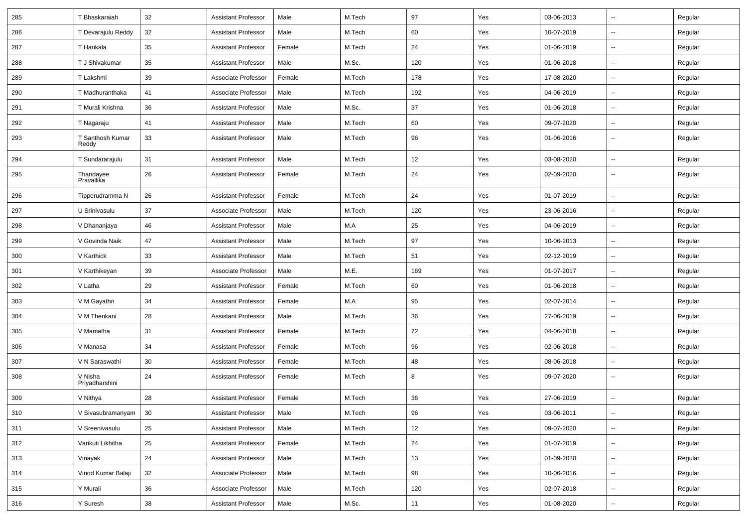| 285 | T Bhaskaraiah             | 32 | <b>Assistant Professor</b> | Male   | M.Tech | 97  | Yes | 03-06-2013 | $\overline{\phantom{a}}$ | Regular |
|-----|---------------------------|----|----------------------------|--------|--------|-----|-----|------------|--------------------------|---------|
| 286 | T Devarajulu Reddy        | 32 | <b>Assistant Professor</b> | Male   | M.Tech | 60  | Yes | 10-07-2019 | -−                       | Regular |
| 287 | T Harikala                | 35 | <b>Assistant Professor</b> | Female | M.Tech | 24  | Yes | 01-06-2019 | $\overline{\phantom{a}}$ | Regular |
| 288 | T J Shivakumar            | 35 | <b>Assistant Professor</b> | Male   | M.Sc.  | 120 | Yes | 01-06-2018 | $\overline{a}$           | Regular |
| 289 | T Lakshmi                 | 39 | Associate Professor        | Female | M.Tech | 178 | Yes | 17-08-2020 | -−                       | Regular |
| 290 | T Madhuranthaka           | 41 | Associate Professor        | Male   | M.Tech | 192 | Yes | 04-06-2019 | Ξ.                       | Regular |
| 291 | T Murali Krishna          | 36 | <b>Assistant Professor</b> | Male   | M.Sc.  | 37  | Yes | 01-06-2018 | $\sim$                   | Regular |
| 292 | T Nagaraju                | 41 | <b>Assistant Professor</b> | Male   | M.Tech | 60  | Yes | 09-07-2020 | -−                       | Regular |
| 293 | T Santhosh Kumar<br>Reddy | 33 | <b>Assistant Professor</b> | Male   | M.Tech | 96  | Yes | 01-06-2016 | $\overline{\phantom{a}}$ | Regular |
| 294 | T Sundararajulu           | 31 | <b>Assistant Professor</b> | Male   | M.Tech | 12  | Yes | 03-08-2020 | Ξ.                       | Regular |
| 295 | Thandayee<br>Pravallika   | 26 | <b>Assistant Professor</b> | Female | M.Tech | 24  | Yes | 02-09-2020 | $\overline{\phantom{a}}$ | Regular |
| 296 | Tipperudramma N           | 26 | <b>Assistant Professor</b> | Female | M.Tech | 24  | Yes | 01-07-2019 | $\overline{\phantom{a}}$ | Regular |
| 297 | U Srinivasulu             | 37 | Associate Professor        | Male   | M.Tech | 120 | Yes | 23-06-2016 | --                       | Regular |
| 298 | V Dhananjaya              | 46 | <b>Assistant Professor</b> | Male   | M.A    | 25  | Yes | 04-06-2019 | Ξ.                       | Regular |
| 299 | V Govinda Naik            | 47 | <b>Assistant Professor</b> | Male   | M.Tech | 97  | Yes | 10-06-2013 | $\overline{\phantom{a}}$ | Regular |
| 300 | V Karthick                | 33 | <b>Assistant Professor</b> | Male   | M.Tech | 51  | Yes | 02-12-2019 | $\overline{\phantom{a}}$ | Regular |
| 301 | V Karthikeyan             | 39 | Associate Professor        | Male   | M.E.   | 169 | Yes | 01-07-2017 | $\overline{\phantom{a}}$ | Regular |
| 302 | V Latha                   | 29 | <b>Assistant Professor</b> | Female | M.Tech | 60  | Yes | 01-06-2018 | $\overline{\phantom{a}}$ | Regular |
| 303 | V M Gayathri              | 34 | <b>Assistant Professor</b> | Female | M.A    | 95  | Yes | 02-07-2014 | --                       | Regular |
| 304 | V M Thenkani              | 28 | <b>Assistant Professor</b> | Male   | M.Tech | 36  | Yes | 27-06-2019 | Ξ.                       | Regular |
| 305 | V Mamatha                 | 31 | <b>Assistant Professor</b> | Female | M.Tech | 72  | Yes | 04-06-2018 | $\overline{\phantom{a}}$ | Regular |
| 306 | V Manasa                  | 34 | <b>Assistant Professor</b> | Female | M.Tech | 96  | Yes | 02-06-2018 | --                       | Regular |
| 307 | V N Saraswathi            | 30 | <b>Assistant Professor</b> | Female | M.Tech | 48  | Yes | 08-06-2018 | $\sim$                   | Regular |
| 308 | V Nisha<br>Priyadharshini | 24 | <b>Assistant Professor</b> | Female | M.Tech | 8   | Yes | 09-07-2020 | $\overline{\phantom{a}}$ | Regular |
| 309 | V Nithya                  | 28 | <b>Assistant Professor</b> | Female | M.Tech | 36  | Yes | 27-06-2019 |                          | Regular |
| 310 | V Sivasubramanyam         | 30 | <b>Assistant Professor</b> | Male   | M.Tech | 96  | Yes | 03-06-2011 | Ξ.                       | Regular |
| 311 | V Sreenivasulu            | 25 | <b>Assistant Professor</b> | Male   | M.Tech | 12  | Yes | 09-07-2020 | $\overline{\phantom{a}}$ | Regular |
| 312 | Varikuti Likhitha         | 25 | <b>Assistant Professor</b> | Female | M.Tech | 24  | Yes | 01-07-2019 | $\sim$                   | Regular |
| 313 | Vinayak                   | 24 | <b>Assistant Professor</b> | Male   | M.Tech | 13  | Yes | 01-09-2020 | $\sim$                   | Regular |
| 314 | Vinod Kumar Balaji        | 32 | Associate Professor        | Male   | M.Tech | 98  | Yes | 10-06-2016 | $\sim$                   | Regular |
| 315 | Y Murali                  | 36 | Associate Professor        | Male   | M.Tech | 120 | Yes | 02-07-2018 | $\overline{\phantom{a}}$ | Regular |
| 316 | Y Suresh                  | 38 | <b>Assistant Professor</b> | Male   | M.Sc.  | 11  | Yes | 01-08-2020 | $\overline{\phantom{a}}$ | Regular |